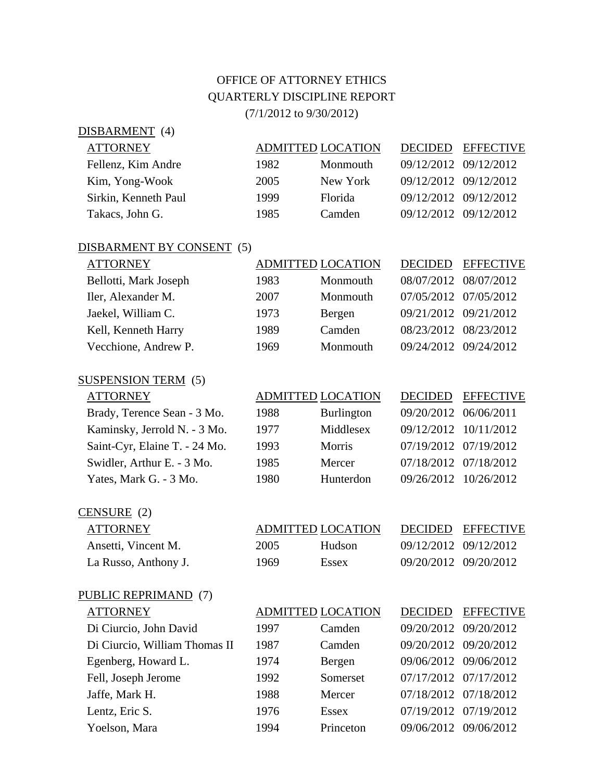## OFFICE OF ATTORNEY ETHICS QUARTERLY DISCIPLINE REPORT

(7/1/2012 to 9/30/2012)

| DISBARMENT (4)       |      |                          |                       |                       |
|----------------------|------|--------------------------|-----------------------|-----------------------|
| <b>ATTORNEY</b>      |      | <b>ADMITTED LOCATION</b> | DECIDED               | <b>EFFECTIVE</b>      |
| Fellenz, Kim Andre   | 1982 | Monmouth                 | 09/12/2012 09/12/2012 |                       |
| Kim, Yong-Wook       | 2005 | New York                 | 09/12/2012 09/12/2012 |                       |
| Sirkin, Kenneth Paul | 1999 | <b>Florida</b>           |                       | 09/12/2012 09/12/2012 |
| Takacs, John G.      | 1985 | Camden                   |                       | 09/12/2012 09/12/2012 |
|                      |      |                          |                       |                       |

| DISBARMENT BY CONSENT (5) |      |                          |                       |                  |
|---------------------------|------|--------------------------|-----------------------|------------------|
| <b>ATTORNEY</b>           |      | <b>ADMITTED LOCATION</b> | <b>DECIDED</b>        | <b>EFFECTIVE</b> |
| Bellotti, Mark Joseph     | 1983 | Monmouth                 | 08/07/2012 08/07/2012 |                  |
| Iler, Alexander M.        | 2007 | Monmouth                 | 07/05/2012 07/05/2012 |                  |
| Jaekel, William C.        | 1973 | Bergen                   | 09/21/2012 09/21/2012 |                  |
| Kell, Kenneth Harry       | 1989 | Camden                   | 08/23/2012 08/23/2012 |                  |
| Vecchione, Andrew P.      | 1969 | Monmouth                 | 09/24/2012 09/24/2012 |                  |

## SUSPENSION TERM (5)

| <b>ATTORNEY</b>               |
|-------------------------------|
| Brady, Terence Sean - 3 Mo.   |
| Kaminsky, Jerrold N. - 3 Mo.  |
| Saint-Cyr, Elaine T. - 24 Mo. |
| Swidler, Arthur E. - 3 Mo.    |
| Yates, Mark G. - 3 Mo.        |

| <b>ATTORNEY</b>               |      | <b>ADMITTED LOCATION</b> | <b>DECIDED</b>        | <b>EFFECTIVE</b> |
|-------------------------------|------|--------------------------|-----------------------|------------------|
| Brady, Terence Sean - 3 Mo.   | 1988 | <b>Burlington</b>        | 09/20/2012 06/06/2011 |                  |
| Kaminsky, Jerrold N. - 3 Mo.  | 1977 | Middlesex                | 09/12/2012 10/11/2012 |                  |
| Saint-Cyr, Elaine T. - 24 Mo. | 1993 | Morris                   | 07/19/2012 07/19/2012 |                  |
| Swidler, Arthur E. - 3 Mo.    | 1985 | Mercer                   | 07/18/2012 07/18/2012 |                  |
| Yates, Mark G. - 3 Mo.        | 1980 | Hunterdon                | 09/26/2012 10/26/2012 |                  |

| CENSURE (2) |  |
|-------------|--|
|-------------|--|

| ATTORNEY             |  |  |  |  |  |
|----------------------|--|--|--|--|--|
| Ansetti, Vincent M.  |  |  |  |  |  |
| La Russo, Anthony J. |  |  |  |  |  |

| $\sum$<br><b>ATTORNEY</b> | ADMITTED LOCATION |              | DECIDED EFFECTIVE     |
|---------------------------|-------------------|--------------|-----------------------|
| Ansetti, Vincent M.       | 2005              | Hudson       | 09/12/2012 09/12/2012 |
| La Russo, Anthony J.      | 1969              | <b>Essex</b> | 09/20/2012 09/20/2012 |

## PUBLIC REPRIMAND (7)

| <b>ATTORNEY</b>               |      | <b>ADMITTED LOCATION</b> | <b>DECIDED</b>        | <b>EFFECTIVE</b> |
|-------------------------------|------|--------------------------|-----------------------|------------------|
| Di Ciurcio, John David        | 1997 | Camden                   | 09/20/2012            | 09/20/2012       |
| Di Ciurcio, William Thomas II | 1987 | Camden                   | 09/20/2012 09/20/2012 |                  |
| Egenberg, Howard L.           | 1974 | Bergen                   | 09/06/2012 09/06/2012 |                  |
| Fell, Joseph Jerome           | 1992 | Somerset                 | 07/17/2012 07/17/2012 |                  |
| Jaffe, Mark H.                | 1988 | Mercer                   | 07/18/2012 07/18/2012 |                  |
| Lentz, Eric S.                | 1976 | Essex                    | 07/19/2012 07/19/2012 |                  |
| Yoelson, Mara                 | 1994 | Princeton                | 09/06/2012            | 09/06/2012       |